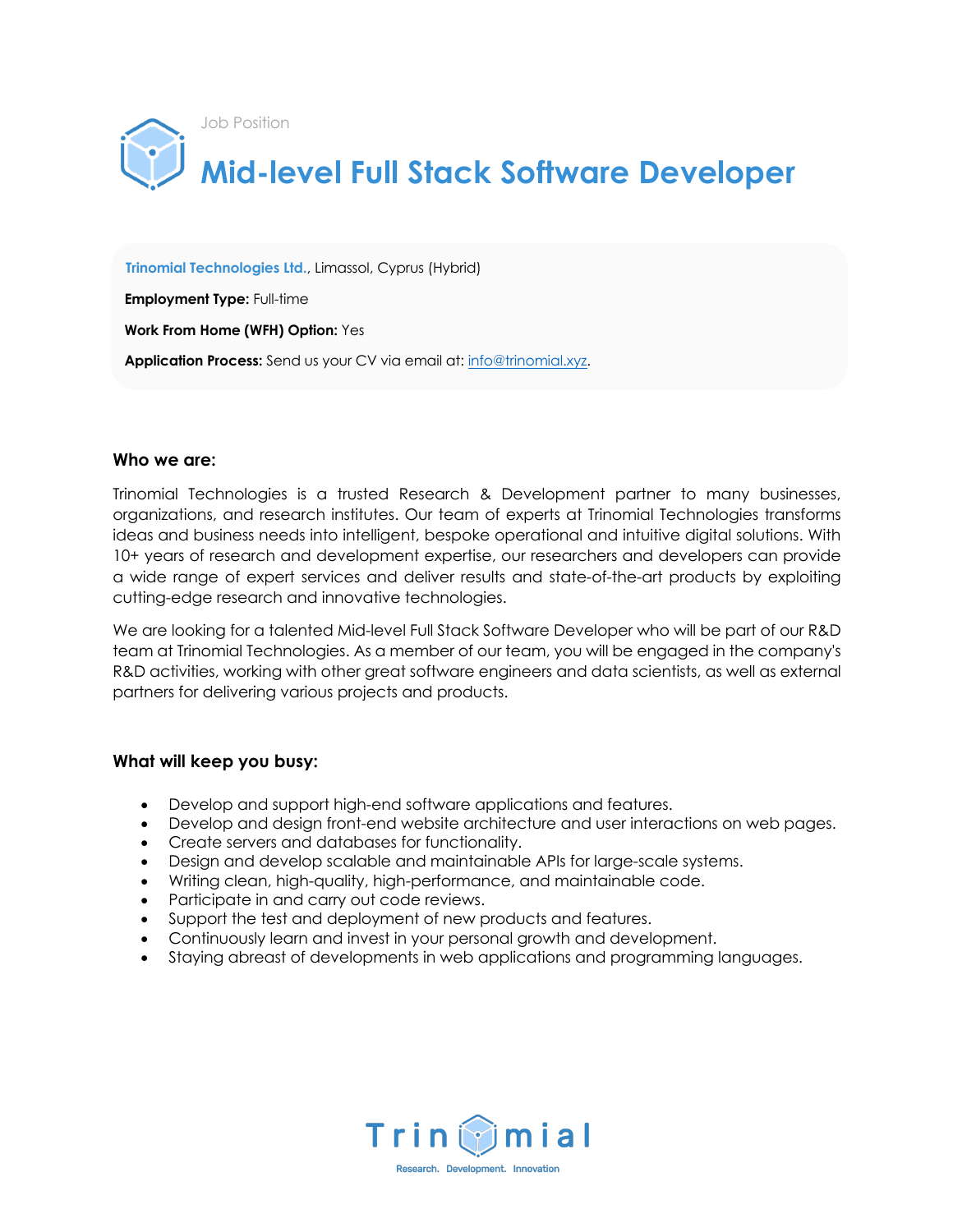

 **Trinomial Technologies Ltd.**, Limassol, Cyprus (Hybrid)

 **Employment Type:** Full-time

 **Work From Home (WFH) Option:** Yes

**Application Process:** Send us your CV via email at: info@trinomial.xyz.

#### **Who we are:**

Trinomial Technologies is a trusted Research & Development partner to many businesses, organizations, and research institutes. Our team of experts at Trinomial Technologies transforms ideas and business needs into intelligent, bespoke operational and intuitive digital solutions. With 10+ years of research and development expertise, our researchers and developers can provide a wide range of expert services and deliver results and state-of-the-art products by exploiting cutting-edge research and innovative technologies.

We are looking for a talented Mid-level Full Stack Software Developer who will be part of our R&D team at Trinomial Technologies. As a member of our team, you will be engaged in the company's R&D activities, working with other great software engineers and data scientists, as well as external partners for delivering various projects and products.

## **What will keep you busy:**

- Develop and support high-end software applications and features.
- Develop and design front-end website architecture and user interactions on web pages.
- Create servers and databases for functionality.
- Design and develop scalable and maintainable APIs for large-scale systems.
- Writing clean, high-quality, high-performance, and maintainable code.
- Participate in and carry out code reviews.
- Support the test and deployment of new products and features.
- Continuously learn and invest in your personal growth and development.
- Staying abreast of developments in web applications and programming languages.